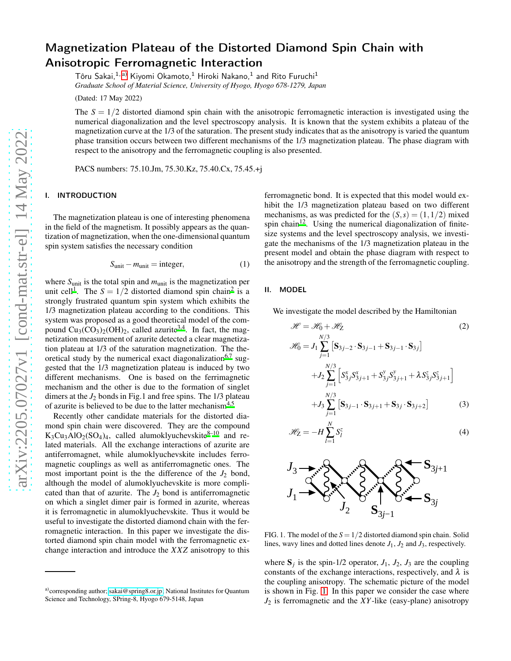# Magnetization Plateau of the Distorted Diamond Spin Chain with Anisotropic Ferromagnetic Interaction

Tôru Sakai, $^{1,\, \mathrm{a)}}$  $^{1,\, \mathrm{a)}}$  $^{1,\, \mathrm{a)}}$  Kiyomi Okamoto, $^{1}$  Hiroki Nakano, $^{1}$  and Rito Furuchi $^{1}$ *Graduate School of Material Science, University of Hyogo, Hyogo 678-1279, Japan*

(Dated: 17 May 2022)

The  $S = 1/2$  distorted diamond spin chain with the anisotropic ferromagnetic interaction is investigated using the numerical diagonalization and the level spectroscopy analysis. It is known that the system exhibits a plateau of the magnetization curve at the 1/3 of the saturation. The present study indicates that as the anisotropy is varied the quantum phase transition occurs between two different mechanisms of the 1/3 magnetization plateau. The phase diagram with respect to the anisotropy and the ferromagnetic coupling is also presented.

PACS numbers: 75.10.Jm, 75.30.Kz, 75.40.Cx, 75.45.+j

# I. INTRODUCTION

The magnetization plateau is one of interesting phenomena in the field of the magnetism. It possibly appears as the quantization of magnetization, when the one-dimensional quantum spin system satisfies the necessary condition

$$
S_{\text{unit}} - m_{\text{unit}} = \text{integer},\tag{1}
$$

where  $S<sub>unit</sub>$  is the total spin and  $m<sub>unit</sub>$  is the magnetization per unit cell<sup>[1](#page-2-0)</sup>. The  $S = 1/2$  $S = 1/2$  distorted diamond spin chain<sup>2</sup> is a strongly frustrated quantum spin system which exhibits the 1/3 magnetization plateau according to the conditions. This system was proposed as a good theoretical model of the compound  $Cu_3(CO_3)_2(OH)_2$  $Cu_3(CO_3)_2(OH)_2$  $Cu_3(CO_3)_2(OH)_2$ , called azurite<sup>3[,4](#page-2-3)</sup>. In fact, the magnetization measurement of azurite detected a clear magnetization plateau at 1/3 of the saturation magnetization. The the-oretical study by the numerical exact diagonalization<sup>[6](#page-2-4)[,7](#page-2-5)</sup> suggested that the 1/3 magnetization plateau is induced by two different mechanisms. One is based on the ferrimagnetic mechanism and the other is due to the formation of singlet dimers at the  $J_2$  bonds in Fig.1 and free spins. The 1/3 plateau of azurite is believed to be due to the latter mechanism<sup>[4](#page-2-3)[,5](#page-2-6)</sup>

Recently other candidate materials for the distorted diamond spin chain were discovered. They are the compound  $K_3Cu_3AlO_2(SO_4)_4$ , called alumoklyuchevskite<sup>[8](#page-3-0)-10</sup> and related materials. All the exchange interactions of azurite are antiferromagnet, while alumoklyuchevskite includes ferromagnetic couplings as well as antiferromagnetic ones. The most important point is the the difference of the  $J_2$  bond, although the model of alumoklyuchevskite is more complicated than that of azurite. The  $J_2$  bond is antiferromagnetic on which a singlet dimer pair is formed in azurite, whereas it is ferromagnetic in alumoklyuchevskite. Thus it would be useful to investigate the distorted diamond chain with the ferromagnetic interaction. In this paper we investigate the distorted diamond spin chain model with the ferromagnetic exchange interaction and introduce the *XXZ* anisotropy to this

ferromagnetic bond. It is expected that this model would exhibit the 1/3 magnetization plateau based on two different mechanisms, as was predicted for the  $(S, s) = (1, 1/2)$  mixed spin chain<sup>[12](#page-3-2)</sup>. Using the numerical diagonalization of finitesize systems and the level spectroscopy analysis, we investigate the mechanisms of the 1/3 magnetization plateau in the present model and obtain the phase diagram with respect to the anisotropy and the strength of the ferromagnetic coupling.

### II. MODEL

We investigate the model described by the Hamiltonian

$$
\mathcal{H} = \mathcal{H}_0 + \mathcal{H}_2
$$
\n
$$
\mathcal{H}_0 = J_1 \sum_{j=1}^{N/3} \left[ \mathbf{S}_{3j-2} \cdot \mathbf{S}_{3j-1} + \mathbf{S}_{3j-1} \cdot \mathbf{S}_{3j} \right]
$$
\n
$$
+ J_2 \sum_{j=1}^{N/3} \left[ S_{3j}^x S_{3j+1}^x + S_{3j}^y S_{3j+1}^y + \lambda S_{3j}^z S_{3j+1}^z \right]
$$
\n
$$
+ J_3 \sum_{j=1}^{N/3} \left[ \mathbf{S}_{3j-1} \cdot \mathbf{S}_{3j+1} + \mathbf{S}_{3j} \cdot \mathbf{S}_{3j+2} \right]
$$
\n(3)

$$
\mathcal{H}_Z = -H \sum_{l=1}^N S_l^z \tag{4}
$$



<span id="page-0-1"></span>FIG. 1. The model of the  $S = 1/2$  distorted diamond spin chain. Solid lines, wavy lines and dotted lines denote  $J_1$ ,  $J_2$  and  $J_3$ , respectively.

where  $S_j$  is the spin-1/2 operator,  $J_1$ ,  $J_2$ ,  $J_3$  are the coupling constants of the exchange interactions, respectively, and  $\lambda$  is the coupling anisotropy. The schematic picture of the model is shown in Fig. [1.](#page-0-1) In this paper we consider the case where *J*<sup>2</sup> is ferromagnetic and the *XY*-like (easy-plane) anisotropy

<span id="page-0-0"></span>a)corresponding author; [sakai@spring8.or.jp;](mailto:sakai@spring8.or.jp) National Institutes for Quantum Science and Technology, SPring-8, Hyogo 679-5148, Japan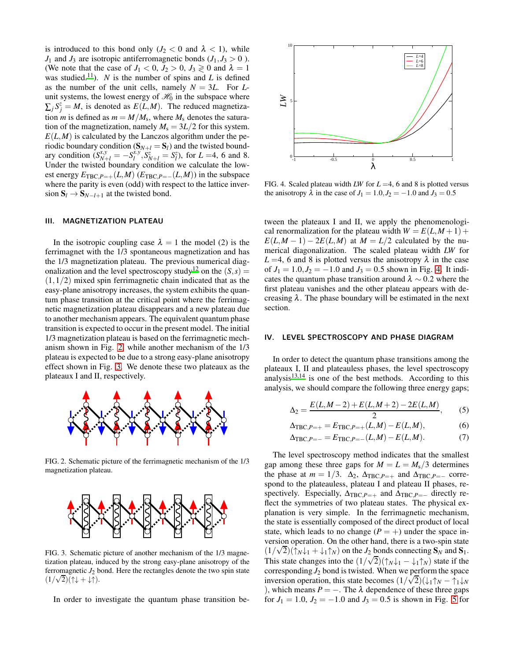is introduced to this bond only  $(J_2 < 0$  and  $\lambda < 1)$ , while  $J_1$  and  $J_3$  are isotropic antiferromagnetic bonds  $(J_1, J_3 > 0)$ . (We note that the case of  $J_1 < 0$ ,  $J_2 > 0$ ,  $J_3 \ge 0$  and  $\lambda = 1$ was studied.<sup>[11](#page-3-3)</sup>). *N* is the number of spins and *L* is defined as the number of the unit cells, namely  $N = 3L$ . For  $L$ unit systems, the lowest energy of  $\mathcal{H}_0$  in the subspace where  $\sum_j S_j^z = M$ , is denoted as  $E(L,M)$ . The reduced magnetization *m* is defined as  $m = M/M_s$ , where  $M_s$  denotes the saturation of the magnetization, namely  $M_s = 3L/2$  for this system.  $E(L,M)$  is calculated by the Lanczos algorithm under the periodic boundary condition  $(S_{N+1} = S_l)$  and the twisted boundary condition  $(S_{N+l}^{x,y}) = -S_l^{\lambda y}$  $\sum_{l}^{x,y}$ ,  $S_{N+l}^{z} = S_{l}^{z}$ , for  $L = 4$ , 6 and 8. Under the twisted boundary condition we calculate the lowest energy  $E_{\text{TBC}, P=+}(L, M)$  ( $E_{\text{TBC}, P=-}(L, M)$ ) in the subspace where the parity is even (odd) with respect to the lattice inversion  $S_l \rightarrow S_{N-l+1}$  at the twisted bond.

# III. MAGNETIZATION PLATEAU

In the isotropic coupling case  $\lambda = 1$  the model (2) is the ferrimagnet with the 1/3 spontaneous magnetization and has the 1/3 magnetization plateau. The previous numerical diag-onalization and the level spectroscopy study<sup>[12](#page-3-2)</sup> on the  $(S, s)$  =  $(1,1/2)$  mixed spin ferrimagnetic chain indicated that as the easy-plane anisotropy increases, the system exhibits the quantum phase transition at the critical point where the ferrimagnetic magnetization plateau disappears and a new plateau due to another mechanism appears. The equivalent quantum phase transition is expected to occur in the present model. The initial 1/3 magnetization plateau is based on the ferrimagnetic mechanism shown in Fig. [2,](#page-1-0) while another mechanism of the 1/3 plateau is expected to be due to a strong easy-plane anisotropy effect shown in Fig. [3.](#page-1-1) We denote these two plateaux as the plateaux I and II, respectively.



<span id="page-1-0"></span>FIG. 2. Schematic picture of the ferrimagnetic mechanism of the 1/3 magnetization plateau.



<span id="page-1-1"></span>FIG. 3. Schematic picture of another mechanism of the 1/3 magnetization plateau, induced by the strong easy-plane anisotropy of the ferromagnetic  $J_2$  bond. Here the rectangles denote the two spin state  $(1/\sqrt{2})(\uparrow\downarrow + \downarrow\uparrow).$ 

In order to investigate the quantum phase transition be-



<span id="page-1-2"></span>FIG. 4. Scaled plateau width *LW* for *L* =4, 6 and 8 is plotted versus the anisotropy  $\lambda$  in the case of  $J_1 = 1.0, J_2 = -1.0$  and  $J_3 = 0.5$ 

tween the plateaux I and II, we apply the phenomenological renormalization for the plateau width  $W = E(L, M + 1) +$  $E(L,M-1) - 2E(L,M)$  at  $M = L/2$  calculated by the numerical diagonalization. The scaled plateau width *LW* for  $L = 4$ , 6 and 8 is plotted versus the anisotropy  $\lambda$  in the case of  $J_1 = 1.0, J_2 = -1.0$  and  $J_3 = 0.5$  shown in Fig. [4.](#page-1-2) It indicates the quantum phase transition around  $\lambda \sim 0.2$  where the first plateau vanishes and the other plateau appears with decreasing  $\lambda$ . The phase boundary will be estimated in the next section.

### IV. LEVEL SPECTROSCOPY AND PHASE DIAGRAM

In order to detect the quantum phase transitions among the plateaux I, II and plateauless phases, the level spectroscopy analysis $13,14$  $13,14$  is one of the best methods. According to this analysis, we should compare the following three energy gaps;

$$
\Delta_2 = \frac{E(L, M-2) + E(L, M+2) - 2E(L, M)}{2},
$$
 (5)

$$
\Delta_{\text{TBC}, P=+} = E_{\text{TBC}, P=+}(L, M) - E(L, M), \tag{6}
$$

$$
\Delta_{\text{TBC},P=-} = E_{\text{TBC},P=-}(L,M) - E(L,M). \tag{7}
$$

The level spectroscopy method indicates that the smallest gap among these three gaps for  $M = L = M_s/3$  determines the phase at  $m = 1/3$ .  $\Delta_2$ ,  $\Delta_{TBC,P=+}$  and  $\Delta_{TBC,P=-}$  correspond to the plateauless, plateau I and plateau II phases, respectively. Especially,  $\Delta_{TBC,P=+}$  and  $\Delta_{TBC,P=-}$  directly reflect the symmetries of two plateau states. The physical explanation is very simple. In the ferrimagnetic mechanism, the state is essentially composed of the direct product of local state, which leads to no change  $(P = +)$  under the space inversion operation. On the other hand, there is a two-spin state  $(1/\sqrt{2})(\uparrow_{N}\downarrow_{1} + \downarrow_{1}\uparrow_{N})$  on the *J*<sub>2</sub> bonds connecting **S**<sub>*N*</sub> and **S**<sub>1</sub>. This state changes into the  $(1/\sqrt{2})(\uparrow \wedge \downarrow_1 - \downarrow_1 \uparrow \wedge)$  state if the corresponding  $J_2$  bond is twisted. When we perform the space inversion operation, this state becomes  $(1/\sqrt{2})(\downarrow 1)$ <sup>N</sup> −  $\uparrow$ <sub>1</sub> ↓*N* ), which means  $P = -$ . The  $\lambda$  dependence of these three gaps for  $J_1 = 1.0$ ,  $J_2 = -1.0$  and  $J_3 = 0.5$  is shown in Fig. [5](#page-2-7) for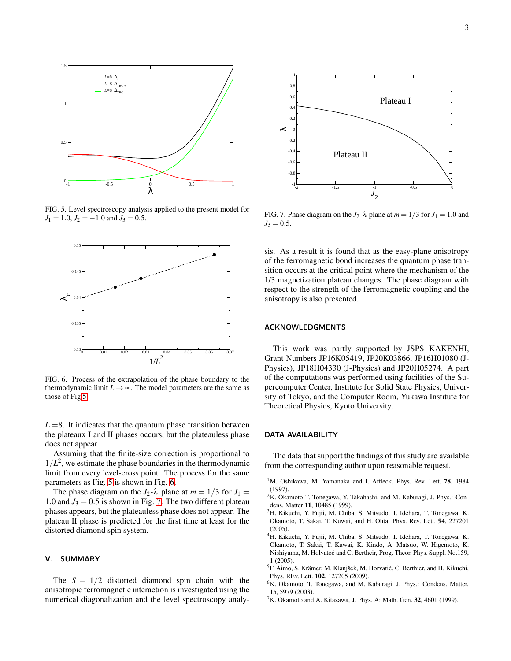

<span id="page-2-7"></span>FIG. 5. Level spectroscopy analysis applied to the present model for  $J_1 = 1.0$ ,  $J_2 = -1.0$  and  $J_3 = 0.5$ .



<span id="page-2-8"></span>FIG. 6. Process of the extrapolation of the phase boundary to the thermodynamic limit  $L \rightarrow \infty$ . The model parameters are the same as those of Fig[.5.](#page-2-7)

 $L = 8$ . It indicates that the quantum phase transition between the plateaux I and II phases occurs, but the plateauless phase does not appear.

Assuming that the finite-size correction is proportional to  $1/L<sup>2</sup>$ , we estimate the phase boundaries in the thermodynamic limit from every level-cross point. The process for the same parameters as Fig. [5](#page-2-7) is shown in Fig. [6.](#page-2-8)

The phase diagram on the  $J_2$ - $\lambda$  plane at  $m = 1/3$  for  $J_1 =$ 1.0 and  $J_3 = 0.5$  is shown in Fig. [7.](#page-2-9) The two different plateau phases appears, but the plateauless phase does not appear. The plateau II phase is predicted for the first time at least for the distorted diamond spin system.

#### V. SUMMARY

The  $S = 1/2$  distorted diamond spin chain with the anisotropic ferromagnetic interaction is investigated using the numerical diagonalization and the level spectroscopy analy-



<span id="page-2-9"></span>FIG. 7. Phase diagram on the  $J_2$ - $\lambda$  plane at  $m = 1/3$  for  $J_1 = 1.0$  and  $J_3 = 0.5$ .

sis. As a result it is found that as the easy-plane anisotropy of the ferromagnetic bond increases the quantum phase transition occurs at the critical point where the mechanism of the 1/3 magnetization plateau changes. The phase diagram with respect to the strength of the ferromagnetic coupling and the anisotropy is also presented.

### ACKNOWLEDGMENTS

This work was partly supported by JSPS KAKENHI, Grant Numbers JP16K05419, JP20K03866, JP16H01080 (J-Physics), JP18H04330 (J-Physics) and JP20H05274. A part of the computations was performed using facilities of the Supercomputer Center, Institute for Solid State Physics, University of Tokyo, and the Computer Room, Yukawa Institute for Theoretical Physics, Kyoto University.

#### DATA AVAILABILITY

The data that support the findings of this study are available from the corresponding author upon reasonable request.

- <span id="page-2-0"></span><sup>1</sup>M. Oshikawa, M. Yamanaka and I. Affleck, Phys. Rev. Lett. 78, 1984 (1997).
- <span id="page-2-1"></span> $2K$ . Okamoto T. Tonegawa, Y. Takahashi, and M. Kaburagi, J. Phys.: Condens. Matter 11, 10485 (1999).
- <span id="page-2-2"></span><sup>3</sup>H. Kikuchi, Y. Fujii, M. Chiba, S. Mitsudo, T. Idehara, T. Tonegawa, K. Okamoto, T. Sakai, T. Kuwai, and H. Ohta, Phys. Rev. Lett. 94, 227201  $(2005)$
- <span id="page-2-3"></span><sup>4</sup>H. Kikuchi, Y. Fujii, M. Chiba, S. Mitsudo, T. Idehara, T. Tonegawa, K. Okamoto, T. Sakai, T. Kuwai, K. Kindo, A. Matsuo, W. Higemoto, K. Nishiyama, M. Holvatoć and C. Bertheir, Prog. Theor. Phys. Suppl. No.159, 1 (2005).
- <span id="page-2-6"></span><sup>5</sup>F. Aimo, S. Krämer, M. Klanjšek, M. Horvatić, C. Berthier, and H. Kikuchi, Phys. REv. Lett. 102, 127205 (2009).
- <span id="page-2-4"></span><sup>6</sup>K. Okamoto, T. Tonegawa, and M. Kaburagi, J. Phys.: Condens. Matter, 15, 5979 (2003).
- <span id="page-2-5"></span> ${}^{7}$ K. Okamoto and A. Kitazawa, J. Phys. A: Math. Gen. 32, 4601 (1999).